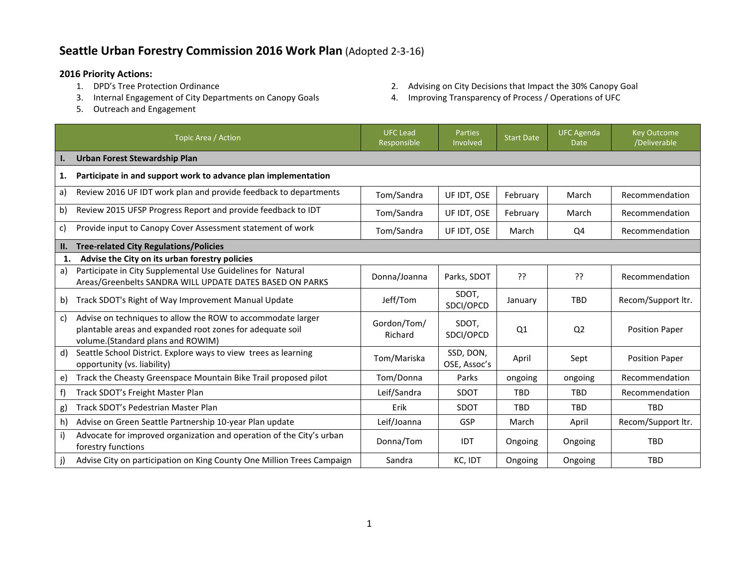## **Seattle Urban Forestry Commission 2016 Work Plan** (Adopted 2-3-16)

- **2016 Priority Actions:**
	- 3. Internal Engagement of City Departments on Canopy Goals 4. Improving Transparency of Process / Operations of UFC
	- 5. Outreach and Engagement
- 2. Advising on City Decisions that Impact the 30% Canopy Goal
- 

|     | Topic Area / Action                                                                                                                                           | <b>UFC</b> Lead<br>Responsible | Parties<br>Involved       | <b>Start Date</b> | <b>UFC Agenda</b><br><b>Date</b> | <b>Key Outcome</b><br>/Deliverable |
|-----|---------------------------------------------------------------------------------------------------------------------------------------------------------------|--------------------------------|---------------------------|-------------------|----------------------------------|------------------------------------|
| ı.  | Urban Forest Stewardship Plan                                                                                                                                 |                                |                           |                   |                                  |                                    |
| 1.  | Participate in and support work to advance plan implementation                                                                                                |                                |                           |                   |                                  |                                    |
| a)  | Review 2016 UF IDT work plan and provide feedback to departments                                                                                              | Tom/Sandra                     | UF IDT, OSE               | February          | March                            | Recommendation                     |
| b)  | Review 2015 UFSP Progress Report and provide feedback to IDT                                                                                                  | Tom/Sandra                     | UF IDT, OSE               | February          | March                            | Recommendation                     |
| c)  | Provide input to Canopy Cover Assessment statement of work                                                                                                    | Tom/Sandra                     | UF IDT, OSE               | March             | Q4                               | Recommendation                     |
| II. | <b>Tree-related City Regulations/Policies</b>                                                                                                                 |                                |                           |                   |                                  |                                    |
| 1.  | Advise the City on its urban forestry policies                                                                                                                |                                |                           |                   |                                  |                                    |
| a)  | Participate in City Supplemental Use Guidelines for Natural<br>Areas/Greenbelts SANDRA WILL UPDATE DATES BASED ON PARKS                                       | Donna/Joanna                   | Parks, SDOT               | ??                | ??                               | Recommendation                     |
| b)  | Track SDOT's Right of Way Improvement Manual Update                                                                                                           | Jeff/Tom                       | SDOT,<br>SDCI/OPCD        | January           | <b>TBD</b>                       | Recom/Support ltr.                 |
| c)  | Advise on techniques to allow the ROW to accommodate larger<br>plantable areas and expanded root zones for adequate soil<br>volume.(Standard plans and ROWIM) | Gordon/Tom/<br>Richard         | SDOT,<br>SDCI/OPCD        | Q1                | Q <sub>2</sub>                   | <b>Position Paper</b>              |
| d)  | Seattle School District. Explore ways to view trees as learning<br>opportunity (vs. liability)                                                                | Tom/Mariska                    | SSD, DON,<br>OSE, Assoc's | April             | Sept                             | <b>Position Paper</b>              |
| e)  | Track the Cheasty Greenspace Mountain Bike Trail proposed pilot                                                                                               | Tom/Donna                      | Parks                     | ongoing           | ongoing                          | Recommendation                     |
| f)  | Track SDOT's Freight Master Plan                                                                                                                              | Leif/Sandra                    | SDOT                      | <b>TBD</b>        | <b>TBD</b>                       | Recommendation                     |
| g)  | Track SDOT's Pedestrian Master Plan                                                                                                                           | Erik                           | SDOT                      | <b>TBD</b>        | <b>TBD</b>                       | <b>TBD</b>                         |
| h)  | Advise on Green Seattle Partnership 10-year Plan update                                                                                                       | Leif/Joanna                    | GSP                       | March             | April                            | Recom/Support ltr.                 |
| i)  | Advocate for improved organization and operation of the City's urban<br>forestry functions                                                                    | Donna/Tom                      | IDT                       | Ongoing           | Ongoing                          | <b>TBD</b>                         |
|     | Advise City on participation on King County One Million Trees Campaign                                                                                        | Sandra                         | KC, IDT                   | Ongoing           | Ongoing                          | <b>TBD</b>                         |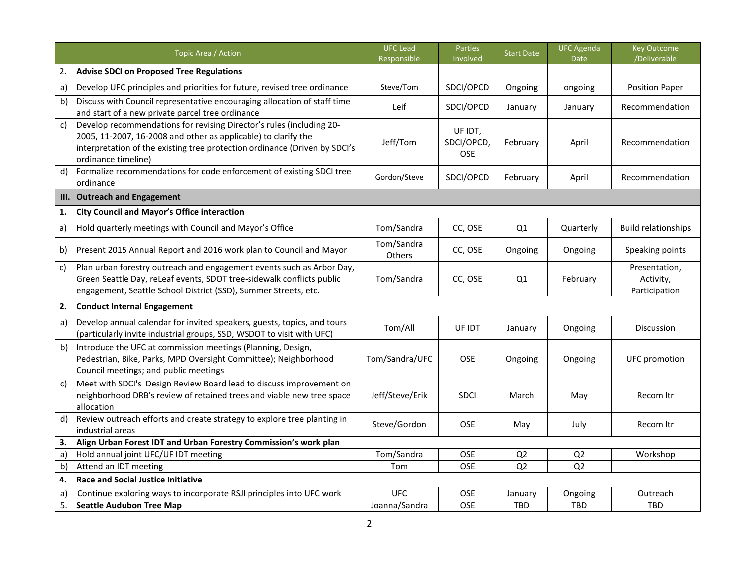|              | Topic Area / Action                                                                                                                                                                                                                         | <b>UFC Lead</b><br>Responsible | Parties<br>Involved                 | <b>Start Date</b> | <b>UFC Agenda</b><br><b>Date</b> | <b>Key Outcome</b><br>/Deliverable          |
|--------------|---------------------------------------------------------------------------------------------------------------------------------------------------------------------------------------------------------------------------------------------|--------------------------------|-------------------------------------|-------------------|----------------------------------|---------------------------------------------|
| 2.           | <b>Advise SDCI on Proposed Tree Regulations</b>                                                                                                                                                                                             |                                |                                     |                   |                                  |                                             |
| a)           | Develop UFC principles and priorities for future, revised tree ordinance                                                                                                                                                                    | Steve/Tom                      | SDCI/OPCD                           | Ongoing           | ongoing                          | <b>Position Paper</b>                       |
| b)           | Discuss with Council representative encouraging allocation of staff time<br>and start of a new private parcel tree ordinance                                                                                                                | Leif                           | SDCI/OPCD                           | January           | January                          | Recommendation                              |
| $\mathsf{c}$ | Develop recommendations for revising Director's rules (including 20-<br>2005, 11-2007, 16-2008 and other as applicable) to clarify the<br>interpretation of the existing tree protection ordinance (Driven by SDCI's<br>ordinance timeline) | Jeff/Tom                       | UF IDT,<br>SDCI/OPCD,<br><b>OSE</b> | February          | April                            | Recommendation                              |
| d)           | Formalize recommendations for code enforcement of existing SDCI tree<br>ordinance                                                                                                                                                           | Gordon/Steve                   | SDCI/OPCD                           | February          | April                            | Recommendation                              |
|              | III. Outreach and Engagement                                                                                                                                                                                                                |                                |                                     |                   |                                  |                                             |
| 1.           | <b>City Council and Mayor's Office interaction</b>                                                                                                                                                                                          |                                |                                     |                   |                                  |                                             |
| a)           | Hold quarterly meetings with Council and Mayor's Office                                                                                                                                                                                     | Tom/Sandra                     | CC, OSE                             | Q1                | Quarterly                        | <b>Build relationships</b>                  |
| b)           | Present 2015 Annual Report and 2016 work plan to Council and Mayor                                                                                                                                                                          | Tom/Sandra<br>Others           | CC, OSE                             | Ongoing           | Ongoing                          | Speaking points                             |
| C)           | Plan urban forestry outreach and engagement events such as Arbor Day,<br>Green Seattle Day, reLeaf events, SDOT tree-sidewalk conflicts public<br>engagement, Seattle School District (SSD), Summer Streets, etc.                           | Tom/Sandra                     | CC, OSE                             | Q1                | February                         | Presentation,<br>Activity,<br>Participation |
| 2.           | <b>Conduct Internal Engagement</b>                                                                                                                                                                                                          |                                |                                     |                   |                                  |                                             |
| a)           | Develop annual calendar for invited speakers, guests, topics, and tours<br>(particularly invite industrial groups, SSD, WSDOT to visit with UFC)                                                                                            | Tom/All                        | UF IDT                              | January           | Ongoing                          | Discussion                                  |
| b)           | Introduce the UFC at commission meetings (Planning, Design,<br>Pedestrian, Bike, Parks, MPD Oversight Committee); Neighborhood<br>Council meetings; and public meetings                                                                     | Tom/Sandra/UFC                 | OSE                                 | Ongoing           | Ongoing                          | <b>UFC</b> promotion                        |
| c)           | Meet with SDCI's Design Review Board lead to discuss improvement on<br>neighborhood DRB's review of retained trees and viable new tree space<br>allocation                                                                                  | Jeff/Steve/Erik                | <b>SDCI</b>                         | March             | May                              | Recom Itr                                   |
| d)           | Review outreach efforts and create strategy to explore tree planting in<br>industrial areas                                                                                                                                                 | Steve/Gordon                   | <b>OSE</b>                          | May               | July                             | Recom Itr                                   |
| 3.           | Align Urban Forest IDT and Urban Forestry Commission's work plan                                                                                                                                                                            |                                |                                     |                   |                                  |                                             |
| a)           | Hold annual joint UFC/UF IDT meeting                                                                                                                                                                                                        | Tom/Sandra                     | OSE                                 | Q <sub>2</sub>    | Q <sub>2</sub>                   | Workshop                                    |
| b)           | Attend an IDT meeting                                                                                                                                                                                                                       | Tom                            | OSE                                 | Q <sub>2</sub>    | Q <sub>2</sub>                   |                                             |
| 4.           | <b>Race and Social Justice Initiative</b>                                                                                                                                                                                                   |                                |                                     |                   |                                  |                                             |
| a)           | Continue exploring ways to incorporate RSJI principles into UFC work                                                                                                                                                                        | <b>UFC</b>                     | OSE                                 | January           | Ongoing                          | Outreach                                    |
| 5.           | <b>Seattle Audubon Tree Map</b>                                                                                                                                                                                                             | Joanna/Sandra                  | <b>OSE</b>                          | <b>TBD</b>        | <b>TBD</b>                       | <b>TBD</b>                                  |